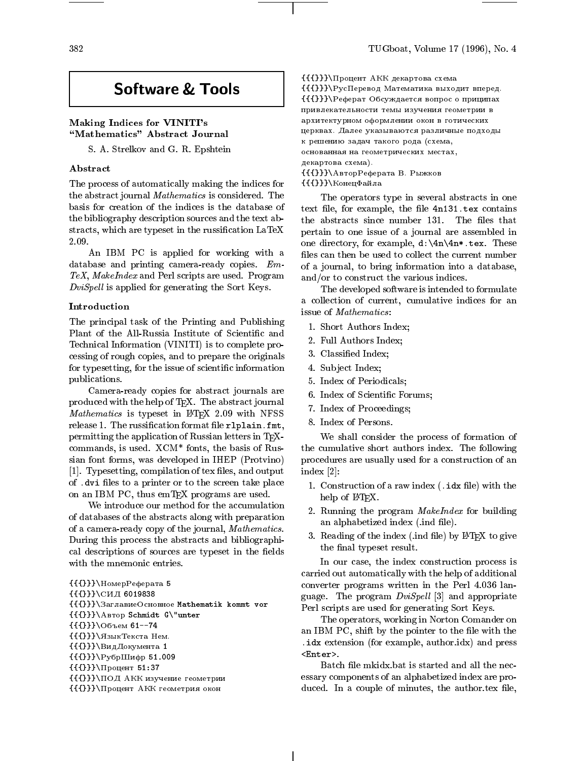# Software & Tools

# Making Indices for VINITI's "Mathematics" Abstract Journal

S. A. Strelkov and G. R. Epshtein

#### Abstract

The process of automatically making the indices for the abstract journal Mathematics is considered. The basis for creation of the indices is the database of the bibliography description sources and the text abstracts, which are typeset in the russication LaTeX 2.09.

An IBM PC is applied for working with a database and printing camera-ready copies. Em-TeX, MakeIndex and Perl scripts are used. Program  $DivSpell$  is applied for generating the Sort Keys.

#### Introduction

The principal task of the Printing and Publishing Plant of the All-Russia Institute of Scientific and Technical Information (VINITI) is to complete processing of rough copies, and to prepare the originals for typesetting, for the issue of scientific information publications.

Camera-ready copies for abstract journals are produced with the help of TFX. The abstract journal Mathematics is typeset in IATFX 2.09 with NFSS release 1. The russification format file r1plain.fmt, permitting the application of Russian letters in TEXcommands, is used. XCM\* fonts, the basis of Russian font forms, was developed in IHEP (Protvino) [1]. Typesetting, compilation of tex files, and output of . dvi files to a printer or to the screen take place on an IBM PC, thus emTFX programs are used.

We introduce our method for the accumulation of databases of the abstracts along with preparation of a camera-ready copy of the journal, Mathematics. During this process the abstracts and bibliographical descriptions of sources are typeset in the fields with the mnemonic entries.

```
{{{}}}\NomerReferata 5
{{{}}}\SID 6019838
{{{}}}\ЗаглавиеОсновное Mathematik kommt vor
{{{}}}\Avtor Schmidt G\"unter
{({}P}}\Obbem 61--74
{({P}}\АзыкТекста Нем.
{({{\}}\})\B_{M\Lambda}Документа 1
{\f{}}\PPy6pШифр 51.009
{({}P}}}\Процент 51:37
{({{\}}\})\\P O\Pi AKK изучение геометрии
{({}P}}}\Процент АКК геометрия окон
```
 ${({{\}}\}$ } $\n\Pi$ роцент АКК декартова схема

 ${ {\{\{\}}\}}\$ РусПеревод Математика выходит вперед.  ${ {\{\{\}\}}\} \$ Реферат Обсуждается вопрос о приципах привлекательности темы изучения геометрии в apxитектурном оформлении окон в готических церквах. Далее указываются различные подходы к решению задач такого рода (схема,  $o$ снованная на геометрических местах, декартова схема). {{{}}}\АвторРеферата В. Рыжков  ${ {\{\}}\} \$ КонецФайла

The operators type in several abstracts in one text file, for example, the file 4n131.tex contains the abstracts since number 131. The files that pertain to one issue of a journal are assembled in one directory, for example, d:\4n\4n\*.tex. These files can then be used to collect the current number of a journal, to bring information into a database, and/or to construct the various indices.

The developed software is intended to formulate a collection of current, cumulative indices for an issue of Mathematics:

- 1. Short Authors Index;
- 2. Full Authors Index;
- 3. Classied Index;
- 4. Subject Index;
- 5. Index of Periodicals;
- 6. Index of Scientic Forums;
- 7. Index of Proceedings;
- 8. Index of Persons.

We shall consider the process of formation of the cumulative short authors index. The following procedures are usually used for a construction of an index [2]:

- 1. Construction of a raw index  $( . *idx* file) with the$ help of L<sup>AT</sup>EX.
- 2. Running the program MakeIndex for building an alphabetized index (.ind file).
- 3. Reading of the index (.ind file) by  $\text{LATEX}$  to give the final typeset result.

In our case, the index construction process is carried out automatically with the help of additional converter programs written in the Perl 4.036 language. The program  $DiviSpell$  [3] and appropriate Perl scripts are used for generating Sort Keys.

The operators, working in Norton Comander on an IBM PC, shift by the pointer to the file with the  $\ldots$  .  $\ldots$  .  $\ldots$  (for example, author.i.e., and press  $\ldots$ <Enter>.

Batch file mkidx.bat is started and all the necessary components of an alphabetized index are produced. In a couple of minutes, the author.tex file,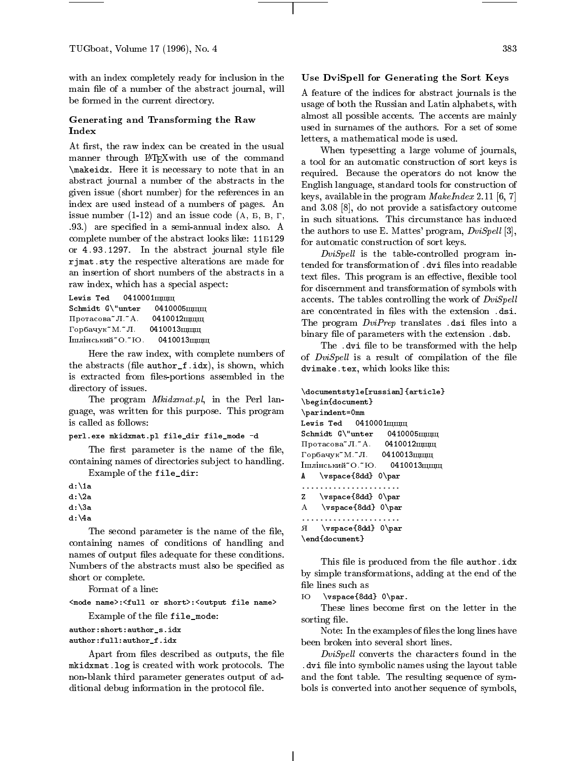with an index completely ready for inclusion in the main file of a number of the abstract journal, will be formed in the current directory.

#### Generating and Transforming the Raw Index

At first, the raw index can be created in the usual manner through LATEXwith use of the command \makeidx. Here it is necessary to note that in an abstract journal a number of the abstracts in the given issue (short number) for the references in an index are used instead of a numbers of pages. An issue number  $(1-12)$  and an issue code  $(A, B, B, \Gamma, \Gamma)$ .93.) are specied in a semi-annual index also. A complete number of the abstract looks like: 11B129 or  $4.93.1297$ . In the abstract journal style file rjmat.sty the respective alterations are made for an insertion of short numbers of the abstracts in a raw index, which has a special aspect:

Lewis Ted  $0410001$ mmm  $Schmidt G\\"unter 0410005mm$ Протасова $*$ Л. $*$ А. 0410012 щщщ  $\Gamma$ орбачук"М."Л. 0410013щщщ Ішлінський "О."Ю. 0410013щщщ

Here the raw index, with complete numbers of the abstracts (file  $\texttt{author_f.idx}$ ), is shown, which is extracted from files-portions assembled in the directory of issues.

The program *Mkidxmat.pl*, in the Perl language, was written for this purpose. This program is called as follows:

#### perl.exe mkidxmat.pl file\_dir file\_mode -d

The first parameter is the name of the file, containing names of directories sub ject to handling.

Example of the file\_dir:

```
d:\1a
d:\2a
d:\3a
```
d:\4a

The second parameter is the name of the file, containing names of conditions of handling and names of output files adequate for these conditions. Numbers of the abstracts must also be specified as short or complete.

Format of a line:

<mode name>:<full or short>:<output file name> Example of the file file mode:

author:short:author\_s.idx

author:full:author\_f.idx

Apart from files described as outputs, the file mkidxmat.log is created with work protocols. The non-blank third parameter generates output of additional debug information in the protocol file.

### Use DviSpell for Generating the Sort Keys

A feature of the indices for abstract journals is the usage of both the Russian and Latin alphabets, with almost all possible accents. The accents are mainly used in surnames of the authors. For a set of some letters, a mathematical mode is used.

When typesetting a large volume of journals, a tool for an automatic construction of sort keys is required. Because the operators do not know the English language, standard tools for construction of keys, available in the program  $\mathit{MakeIndex}$  2.11 [6, 7] and 3.08 [8], do not provide a satisfactory outcome in such situations. This circumstance has induced the authors to use E. Mattes' program,  $DivSpell$  [3], for automatic construction of sort keys.

 $DivSpell$  is the table-controlled program intended for transformation of .dvi files into readable text files. This program is an effective, flexible tool for discernment and transformation of symbols with accents. The tables controlling the work of DviSpell are concentrated in files with the extension .dsi. The program  $DiviPrep$  translates .dsi files into a binary file of parameters with the extension .dsb.

The .dvi file to be transformed with the help of *DviSpell* is a result of compilation of the file dvimake.tex, which looks like this:

```
\documentstyle[russian]{article}
\begin{document}
\parindent=0mm
Lewis Ted 0410001m\rm{mm}Schmidt G\'unter 0410005mmПротасова\tilde{\mathcal{A}}Л.\tilde{\mathcal{A}}. 0410012щщщ
\Gammaорбачук"М."Л. 0410013щщщ
Iшлінський<sup>*</sup>О.*Ю. 0410013щщщ
A \vspace{8dd} 0\par
......................
z
    \vspace{8dd} 0\par
```

```
A \vspace{8dd} 0\par
A \vspace{8dd} 0\par
```
\end{document}

This file is produced from the file author. idx by simple transformations, adding at the end of the file lines such as

 \vspace{8dd} 0\par. Ю

These lines become first on the letter in the sorting file.

Note: In the examples of files the long lines have been broken into several short lines.

 $DivSpell$  converts the characters found in the . dvi se into symbolic names using the lay of the layout table and the font table. The resulting sequence of symbols is converted into another sequence of symbols,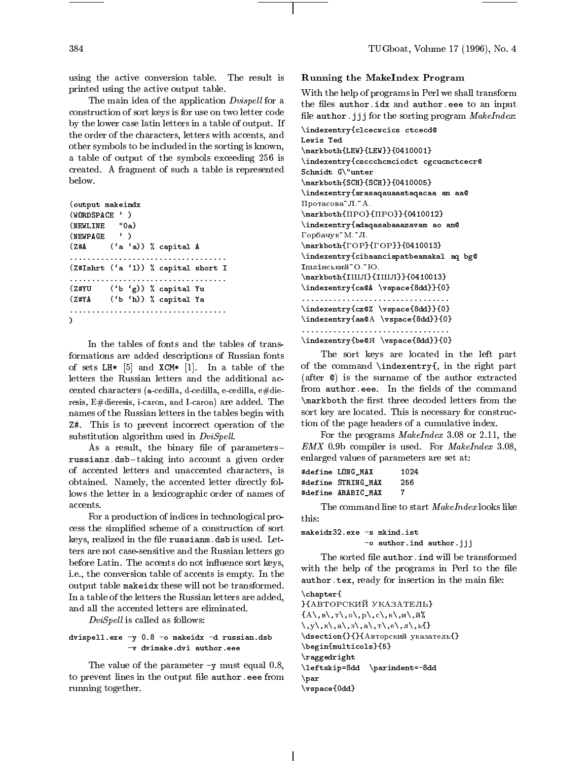using the active conversion table. The result is printed using the active output table.

The main idea of the application  $Dvispell$  for a construction of sort keys is for use on two letter code by the lower case latin letters in a table of output. If the order of the characters, letters with accents, and Lewis Ted other symbols to be included in the sorting is known, a table of output of the symbols exceeding 256 is created. A fragment of such a table is represented below.

(output makeindx (WORDSPACE ` ) (NEWLINE "0a) (NEWPAGE ` )  $(7.4A)$  $('a 'a))$  % capital A ................................... (Z#Ishrt (`a `l)) % capital short I ................................... (Z#YU (`b `g)) % capital Yu (Z#YA (`b `h)) % capital Ya ...................................  $\lambda$ 

```
In the tables of fonts and the tables of trans-
formations are added descriptions of Russian fonts
of sets LH* [5] and XCM* [1]. In a table of the
letters the Russian letters and the additional ac-
cented characters (a-cedilla, d-cedilla, e-cedilla, e#die-
resis, E#dieresis, i-caron, and I-caron) are added. The
names of the Russian letters in the tables begin with
Z#. This is to prevent incorrect operation of the
substitution algorithm used in DviSpell.
```
As a result, the binary file of parametersrussianz.dsb { taking into account a given order of accented letters and unaccented characters, is obtained. Namely, the accented letter directly follows the letter in a lexicographic order of names of accents.

For a production of indices in technological process the simplied scheme of a construction of sort keys, realized in the file russianm.dsb is used. Letters are not case-sensitive and the Russian letters go before Latin. The accents do not influence sort keys, i.e., the conversion table of accents is empty. In the output table makeidx these will not be transformed. In a table of the letters the Russian letters are added, and all the accented letters are eliminated.

 $DiviSpell$  is called as follows:

# dvispell.exe -y 0.8 -o makeidx -d russian.dsb -v dvimake.dvi author.eee

The value of the parameter -y must equal 0.8, to prevent lines in the output file author. eee from running together.

### Running the MakeIndex Program

With the help of programs in Perl we shall transform the files author.idx and author.eee to an input file author.jjj for the sorting program  $\emph{MakeIndex}:$ 

```
\indexentry{clcecwcics ctcecd@
\markboth{LEW}{LEW}}{0410001}
\indexentry{csccchcmcicdct cgcucnctcecr@
Schmidt G\"unter
\markboth{SCH}{SCH}}{0410005}
\indexentry{arasaqauaaataqacaa an aa@
Протасова"Л."А.
\mathcal{D}[Narkboth{\mathcal{D}}{\mathcal{D}]}{0410012}
\indexentry{adaqasabaaazavam ao an@
Горбачук"М."Л.
\mathcal{G}(\mathbb{F}) {\mathcal{G}(\mathbb{F})}{0410013}
\indexentry{cibaanciapatbeamakal aq bg@
\text{Im}\pi\text{inc}\text{bc}\pi\text{W}^*О. \text{SO}.
\mathrm{\Lambda}[IIII]{IIIII]}{0410013}
\indexentry{ca@A \vspace{8dd}}{0}
.................................
\indexentry{cz@Z \vspace{8dd}}{0}
\indexentry{aa@A \vspace{8dd}}{0}
.................................
```
\indexentry{be@ A \vspace{8dd}}{0}

The sort keys are located in the left part of the command \indexentry{, in the right part (after @) is the surname of the author extracted from author.eee. In the fields of the command  $\mathcal{L}$  reconstruction three decoded letters from the decoded letters from the set of  $\mathcal{L}$ sort key are located. This is necessary for construction of the page headers of a cumulative index.

For the programs MakeIndex 3.08 or 2.11, the EMX 0.9b compiler is used. For MakeIndex 3.08, enlarged values of parameters are set at:

| #define LONG MAX   | 1024 |
|--------------------|------|
| #define STRING MAX | 256  |
| #define ARABIC MAX | -7   |

The command line to start MakeIndex looks like

makeidx32.exe -s mkind.ist -o author.ind author.jjj

The sorted file author. ind will be transformed with the help of the programs in Perl to the file author.tex, ready for insertion in the main file:

# \chapter{

}{АВТОРСКИЙ УКАЗАТЕЛЬ}  $\{A\setminus B\setminus T\setminus o\setminus p\setminus,c\setminus K\setminus N\}$  $\langle\,\,,y\langle\,,\kappa\langle\,,a\,\rangle\,,s\langle\,,a\,\rangle\,,r\langle\,,e\langle\,,\pi\langle\,,\iota\,\rangle\,\rangle\,\}$  $\lambda$ dsection ${\}$ { $\}$ {Авторский указатель{} \begin{multicols}{5} \raggedright \leftskip=8dd \parindent=-8dd \par \vspace{0dd}

)